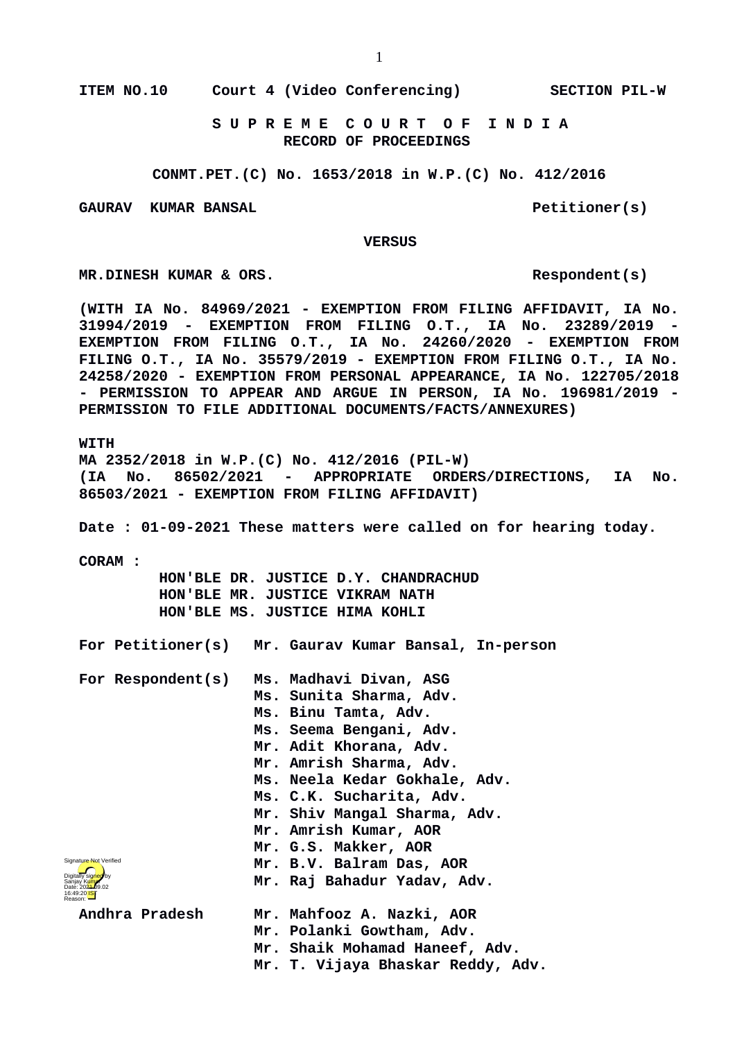**ITEM NO.10 Court 4 (Video Conferencing) SECTION PIL-W**

 **S U P R E M E C O U R T O F I N D I A RECORD OF PROCEEDINGS**

**CONMT.PET.(C) No. 1653/2018 in W.P.(C) No. 412/2016**

GAURAV KUMAR BANSAL **Petitioner(s)** 

 **VERSUS**

**MR.DINESH KUMAR & ORS.** Respondent(s)

**(WITH IA No. 84969/2021 - EXEMPTION FROM FILING AFFIDAVIT, IA No. 31994/2019 - EXEMPTION FROM FILING O.T., IA No. 23289/2019 - EXEMPTION FROM FILING O.T., IA No. 24260/2020 - EXEMPTION FROM FILING O.T., IA No. 35579/2019 - EXEMPTION FROM FILING O.T., IA No. 24258/2020 - EXEMPTION FROM PERSONAL APPEARANCE, IA No. 122705/2018 - PERMISSION TO APPEAR AND ARGUE IN PERSON, IA No. 196981/2019 - PERMISSION TO FILE ADDITIONAL DOCUMENTS/FACTS/ANNEXURES)**

**WITH**

**MA 2352/2018 in W.P.(C) No. 412/2016 (PIL-W) (IA No. 86502/2021 - APPROPRIATE ORDERS/DIRECTIONS, IA No. 86503/2021 - EXEMPTION FROM FILING AFFIDAVIT)**

**Date : 01-09-2021 These matters were called on for hearing today.**

**CORAM :** 

 **HON'BLE DR. JUSTICE D.Y. CHANDRACHUD HON'BLE MR. JUSTICE VIKRAM NATH HON'BLE MS. JUSTICE HIMA KOHLI**

**For Petitioner(s) Mr. Gaurav Kumar Bansal, In-person**

**For Respondent(s) Ms. Madhavi Divan, ASG Ms. Sunita Sharma, Adv. Ms. Binu Tamta, Adv. Ms. Seema Bengani, Adv. Mr. Adit Khorana, Adv. Mr. Amrish Sharma, Adv. Ms. Neela Kedar Gokhale, Adv. Ms. C.K. Sucharita, Adv. Mr. Shiv Mangal Sharma, Adv. Mr. Amrish Kumar, AOR Mr. G.S. Makker, AOR Mr. B.V. Balram Das, AOR Mr. Raj Bahadur Yadav, Adv. Andhra Pradesh Mr. Mahfooz A. Nazki, AOR Mr. Polanki Gowtham, Adv. Mr. Shaik Mohamad Haneef, Adv. Mr. T. Vijaya Bhaskar Reddy, Adv.** Digitally signed by Sanjay Kumar Date: 2024-09.02 16:49:20<sup>1S</sup> Reason: Signature Not Verified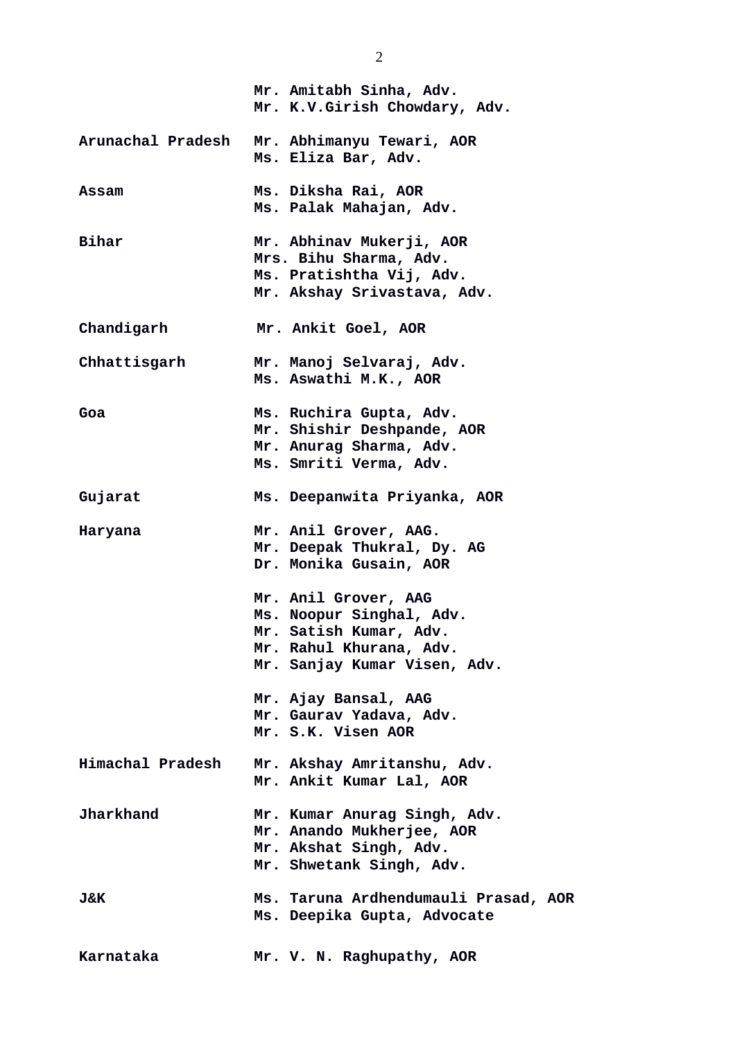|                   | Mr. Amitabh Sinha, Adv.<br>Mr. K.V.Girish Chowdary, Adv.                                                                              |
|-------------------|---------------------------------------------------------------------------------------------------------------------------------------|
| Arunachal Pradesh | Mr. Abhimanyu Tewari, AOR<br>Ms. Eliza Bar, Adv.                                                                                      |
| <b>Assam</b>      | Ms. Diksha Rai, AOR<br>Ms. Palak Mahajan, Adv.                                                                                        |
| <b>Bihar</b>      | Mr. Abhinav Mukerji, AOR<br>Mrs. Bihu Sharma, Adv.<br>Ms. Pratishtha Vij, Adv.<br>Mr. Akshay Srivastava, Adv.                         |
| Chandigarh        | Mr. Ankit Goel, AOR                                                                                                                   |
| Chhattisgarh      | Mr. Manoj Selvaraj, Adv.<br>Ms. Aswathi M.K., AOR                                                                                     |
| Goa               | Ms. Ruchira Gupta, Adv.<br>Mr. Shishir Deshpande, AOR<br>Mr. Anurag Sharma, Adv.<br>Ms. Smriti Verma, Adv.                            |
| Gujarat           | Ms. Deepanwita Priyanka, AOR                                                                                                          |
| Haryana           | Mr. Anil Grover, AAG.<br>Mr. Deepak Thukral, Dy. AG<br>Dr. Monika Gusain, AOR                                                         |
|                   | Mr. Anil Grover, AAG<br>Ms. Noopur Singhal, Adv.<br>Mr. Satish Kumar, Adv.<br>Mr. Rahul Khurana, Adv.<br>Mr. Sanjay Kumar Visen, Adv. |
|                   | Mr. Ajay Bansal, AAG<br>Mr. Gaurav Yadava, Adv.<br>Mr. S.K. Visen AOR                                                                 |
| Himachal Pradesh  | Mr. Akshay Amritanshu, Adv.<br>Mr. Ankit Kumar Lal, AOR                                                                               |
| <b>Jharkhand</b>  | Mr. Kumar Anurag Singh, Adv.<br>Mr. Anando Mukherjee, AOR<br>Mr. Akshat Singh, Adv.<br>Mr. Shwetank Singh, Adv.                       |
| J&K               | Ms. Taruna Ardhendumauli Prasad, AOR<br>Ms. Deepika Gupta, Advocate                                                                   |
| Karnataka         | Mr. V. N. Raghupathy, AOR                                                                                                             |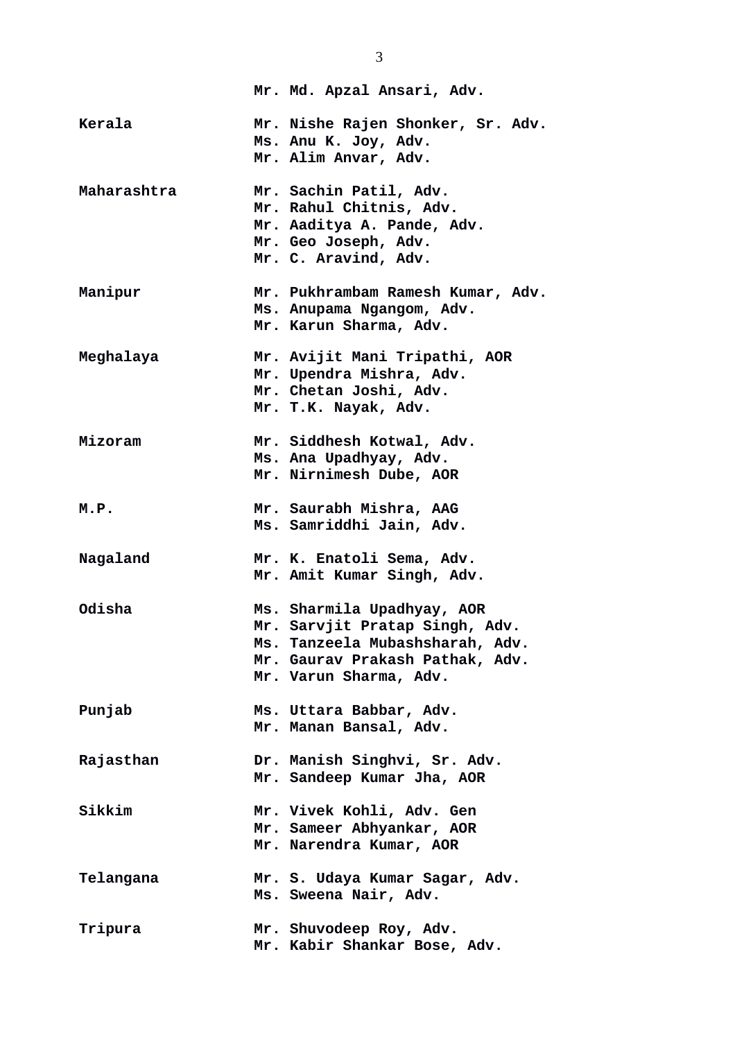|               | Mr. Md. Apzal Ansari, Adv.                                                                                                                                   |
|---------------|--------------------------------------------------------------------------------------------------------------------------------------------------------------|
| Kerala        | Mr. Nishe Rajen Shonker, Sr. Adv.<br>Ms. Anu K. Joy, Adv.<br>Mr. Alim Anvar, Adv.                                                                            |
| Maharashtra   | Mr. Sachin Patil, Adv.<br>Mr. Rahul Chitnis, Adv.<br>Mr. Aaditya A. Pande, Adv.<br>Mr. Geo Joseph, Adv.<br>Mr. C. Aravind, Adv.                              |
| Manipur       | Mr. Pukhrambam Ramesh Kumar, Adv.<br>Ms. Anupama Ngangom, Adv.<br>Mr. Karun Sharma, Adv.                                                                     |
| Meghalaya     | Mr. Avijit Mani Tripathi, AOR<br>Mr. Upendra Mishra, Adv.<br>Mr. Chetan Joshi, Adv.<br>Mr. T.K. Nayak, Adv.                                                  |
| Mizoram       | Mr. Siddhesh Kotwal, Adv.<br>Ms. Ana Upadhyay, Adv.<br>Mr. Nirnimesh Dube, AOR                                                                               |
| M.P.          | Mr. Saurabh Mishra, AAG<br>Ms. Samriddhi Jain, Adv.                                                                                                          |
| Nagaland      | Mr. K. Enatoli Sema, Adv.<br>Mr. Amit Kumar Singh, Adv.                                                                                                      |
| Odisha        | Ms. Sharmila Upadhyay, AOR<br>Mr. Sarvjit Pratap Singh, Adv.<br>Ms. Tanzeela Mubashsharah, Adv.<br>Mr. Gaurav Prakash Pathak, Adv.<br>Mr. Varun Sharma, Adv. |
| Punjab        | Ms. Uttara Babbar, Adv.<br>Mr. Manan Bansal, Adv.                                                                                                            |
| Rajasthan     | Dr. Manish Singhvi, Sr. Adv.<br>Mr. Sandeep Kumar Jha, AOR                                                                                                   |
| <b>Sikkim</b> | Mr. Vivek Kohli, Adv. Gen<br>Mr. Sameer Abhyankar, AOR<br>Mr. Narendra Kumar, AOR                                                                            |
| Telangana     | Mr. S. Udaya Kumar Sagar, Adv.<br>Ms. Sweena Nair, Adv.                                                                                                      |
| Tripura       | Mr. Shuvodeep Roy, Adv.<br>Mr. Kabir Shankar Bose, Adv.                                                                                                      |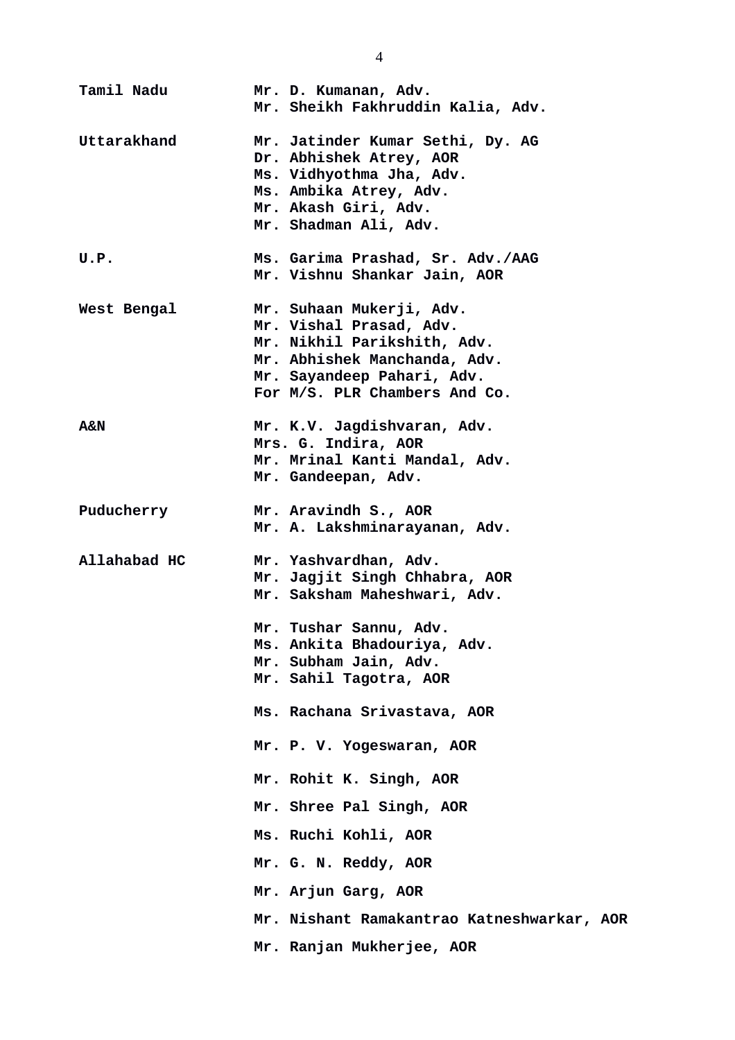| <b>Tamil Nadu</b> | Mr. D. Kumanan, Adv.<br>Mr. Sheikh Fakhruddin Kalia, Adv.                                                                                                                         |
|-------------------|-----------------------------------------------------------------------------------------------------------------------------------------------------------------------------------|
| Uttarakhand       | Mr. Jatinder Kumar Sethi, Dy. AG<br>Dr. Abhishek Atrey, AOR<br>Ms. Vidhyothma Jha, Adv.<br>Ms. Ambika Atrey, Adv.<br>Mr. Akash Giri, Adv.<br>Mr. Shadman Ali, Adv.                |
| U.P.              | Ms. Garima Prashad, Sr. Adv./AAG<br>Mr. Vishnu Shankar Jain, AOR                                                                                                                  |
| West Bengal       | Mr. Suhaan Mukerji, Adv.<br>Mr. Vishal Prasad, Adv.<br>Mr. Nikhil Parikshith, Adv.<br>Mr. Abhishek Manchanda, Adv.<br>Mr. Sayandeep Pahari, Adv.<br>For M/S. PLR Chambers And Co. |
| A&N               | Mr. K.V. Jagdishvaran, Adv.<br>Mrs. G. Indira, AOR<br>Mr. Mrinal Kanti Mandal, Adv.<br>Mr. Gandeepan, Adv.                                                                        |
| Puducherry        | Mr. Aravindh S., AOR<br>Mr. A. Lakshminarayanan, Adv.                                                                                                                             |
| Allahabad HC      | Mr. Yashvardhan, Adv.<br>Mr. Jagjit Singh Chhabra, AOR<br>Mr. Saksham Maheshwari, Adv.                                                                                            |
|                   | Mr. Tushar Sannu, Adv.                                                                                                                                                            |
|                   | Ms. Ankita Bhadouriya, Adv.<br>Mr. Subham Jain, Adv.                                                                                                                              |
|                   | Mr. Sahil Tagotra, AOR                                                                                                                                                            |
|                   | Ms. Rachana Srivastava, AOR                                                                                                                                                       |
|                   | Mr. P. V. Yogeswaran, AOR                                                                                                                                                         |
|                   | Mr. Rohit K. Singh, AOR                                                                                                                                                           |
|                   | Mr. Shree Pal Singh, AOR                                                                                                                                                          |
|                   | Ms. Ruchi Kohli, AOR                                                                                                                                                              |
|                   | Mr. G. N. Reddy, AOR                                                                                                                                                              |
|                   | Mr. Arjun Garg, AOR                                                                                                                                                               |
|                   | Mr. Nishant Ramakantrao Katneshwarkar, AOR                                                                                                                                        |
|                   | Mr. Ranjan Mukherjee, AOR                                                                                                                                                         |

4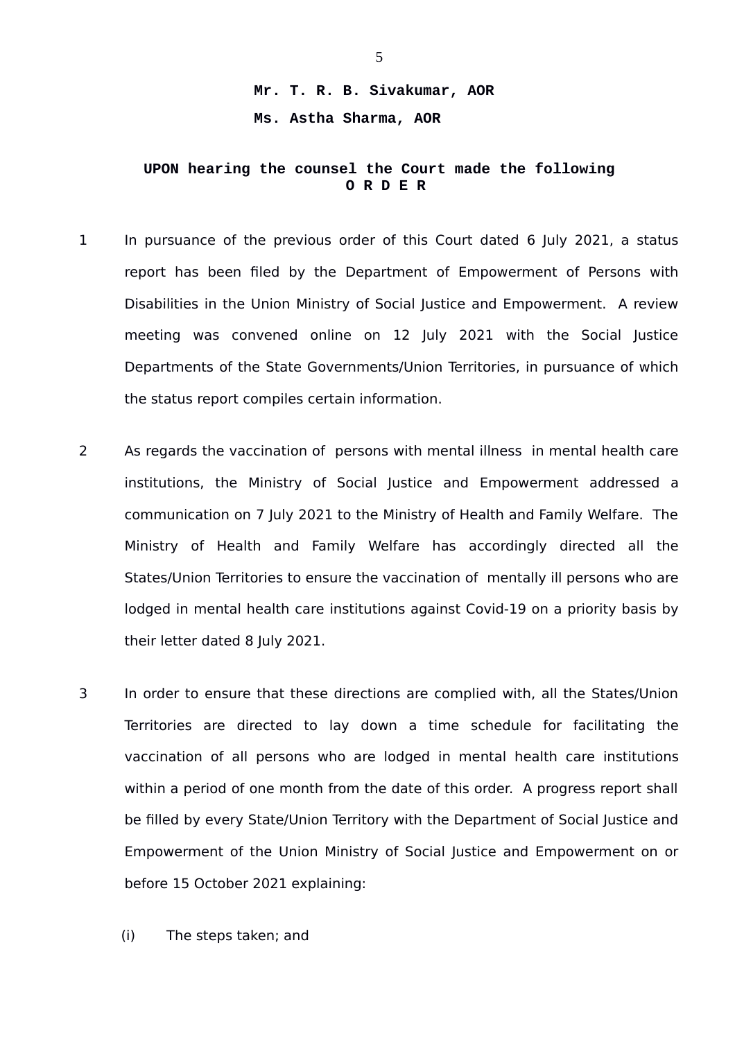## **Mr. T. R. B. Sivakumar, AOR Ms. Astha Sharma, AOR**

## **UPON hearing the counsel the Court made the following O R D E R**

- 1 In pursuance of the previous order of this Court dated 6 July 2021, a status report has been filed by the Department of Empowerment of Persons with Disabilities in the Union Ministry of Social Justice and Empowerment. A review meeting was convened online on 12 July 2021 with the Social Justice Departments of the State Governments/Union Territories, in pursuance of which the status report compiles certain information.
- 2 As regards the vaccination of persons with mental illness in mental health care institutions, the Ministry of Social Justice and Empowerment addressed a communication on 7 July 2021 to the Ministry of Health and Family Welfare. The Ministry of Health and Family Welfare has accordingly directed all the States/Union Territories to ensure the vaccination of mentally ill persons who are lodged in mental health care institutions against Covid-19 on a priority basis by their letter dated 8 July 2021.
- 3 In order to ensure that these directions are complied with, all the States/Union Territories are directed to lay down a time schedule for facilitating the vaccination of all persons who are lodged in mental health care institutions within a period of one month from the date of this order. A progress report shall be filled by every State/Union Territory with the Department of Social Justice and Empowerment of the Union Ministry of Social Justice and Empowerment on or before 15 October 2021 explaining:
	- (i) The steps taken; and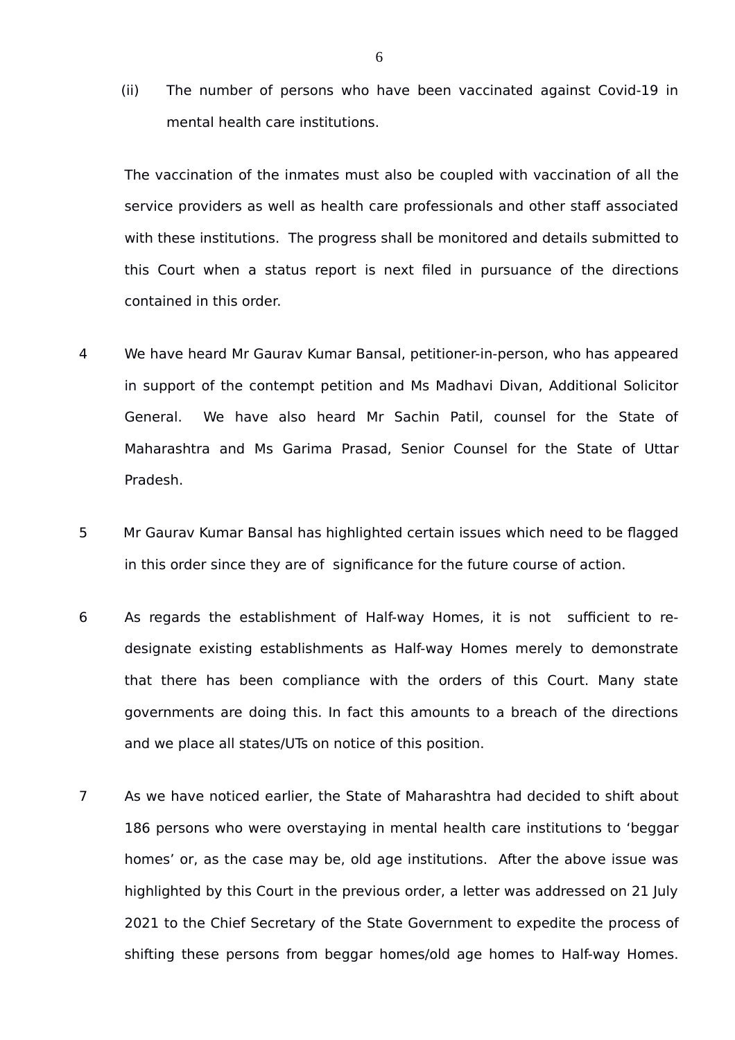(ii) The number of persons who have been vaccinated against Covid-19 in mental health care institutions.

The vaccination of the inmates must also be coupled with vaccination of all the service providers as well as health care professionals and other staff associated with these institutions. The progress shall be monitored and details submitted to this Court when a status report is next filed in pursuance of the directions contained in this order.

- 4 We have heard Mr Gaurav Kumar Bansal, petitioner-in-person, who has appeared in support of the contempt petition and Ms Madhavi Divan, Additional Solicitor General. We have also heard Mr Sachin Patil, counsel for the State of Maharashtra and Ms Garima Prasad, Senior Counsel for the State of Uttar Pradesh.
- 5 Mr Gaurav Kumar Bansal has highlighted certain issues which need to be flagged in this order since they are of significance for the future course of action.
- 6 As regards the establishment of Half-way Homes, it is not sufficient to redesignate existing establishments as Half-way Homes merely to demonstrate that there has been compliance with the orders of this Court. Many state governments are doing this. In fact this amounts to a breach of the directions and we place all states/UTs on notice of this position.
- 7 As we have noticed earlier, the State of Maharashtra had decided to shift about 186 persons who were overstaying in mental health care institutions to 'beggar homes' or, as the case may be, old age institutions. After the above issue was highlighted by this Court in the previous order, a letter was addressed on 21 July 2021 to the Chief Secretary of the State Government to expedite the process of shifting these persons from beggar homes/old age homes to Half-way Homes.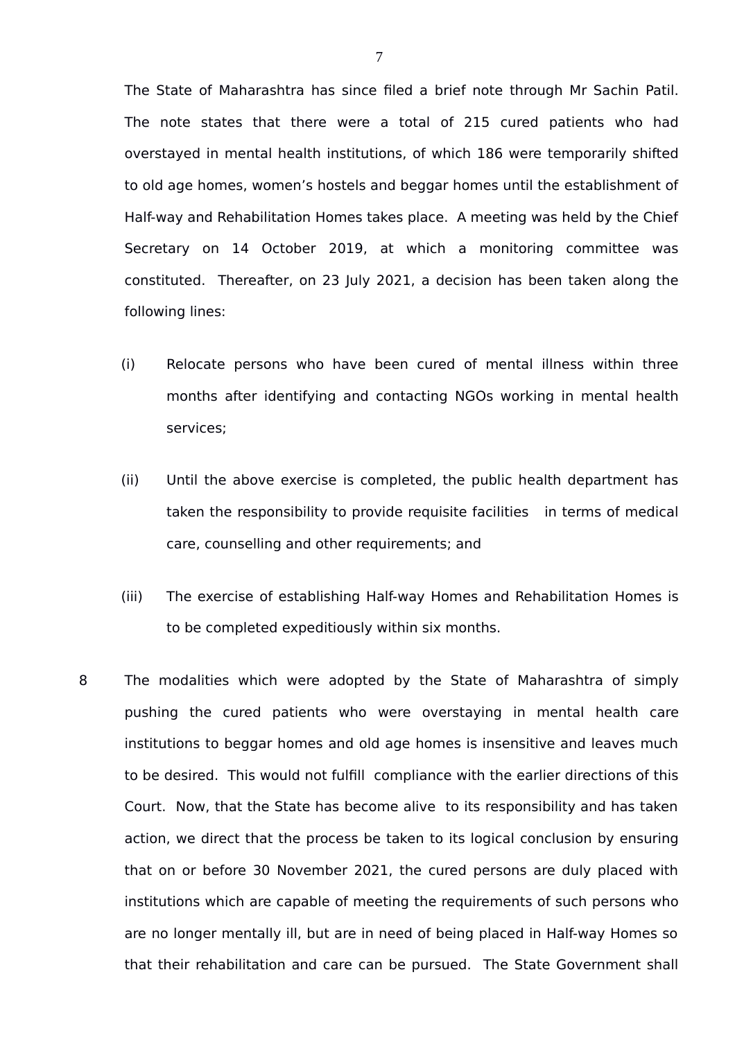The State of Maharashtra has since filed a brief note through Mr Sachin Patil. The note states that there were a total of 215 cured patients who had overstayed in mental health institutions, of which 186 were temporarily shifted to old age homes, women's hostels and beggar homes until the establishment of Half-way and Rehabilitation Homes takes place. A meeting was held by the Chief Secretary on 14 October 2019, at which a monitoring committee was constituted. Thereafter, on 23 July 2021, a decision has been taken along the following lines:

- (i) Relocate persons who have been cured of mental illness within three months after identifying and contacting NGOs working in mental health services;
- (ii) Until the above exercise is completed, the public health department has taken the responsibility to provide requisite facilities in terms of medical care, counselling and other requirements; and
- (iii) The exercise of establishing Half-way Homes and Rehabilitation Homes is to be completed expeditiously within six months.
- 8 The modalities which were adopted by the State of Maharashtra of simply pushing the cured patients who were overstaying in mental health care institutions to beggar homes and old age homes is insensitive and leaves much to be desired. This would not fulfill compliance with the earlier directions of this Court. Now, that the State has become alive to its responsibility and has taken action, we direct that the process be taken to its logical conclusion by ensuring that on or before 30 November 2021, the cured persons are duly placed with institutions which are capable of meeting the requirements of such persons who are no longer mentally ill, but are in need of being placed in Half-way Homes so that their rehabilitation and care can be pursued. The State Government shall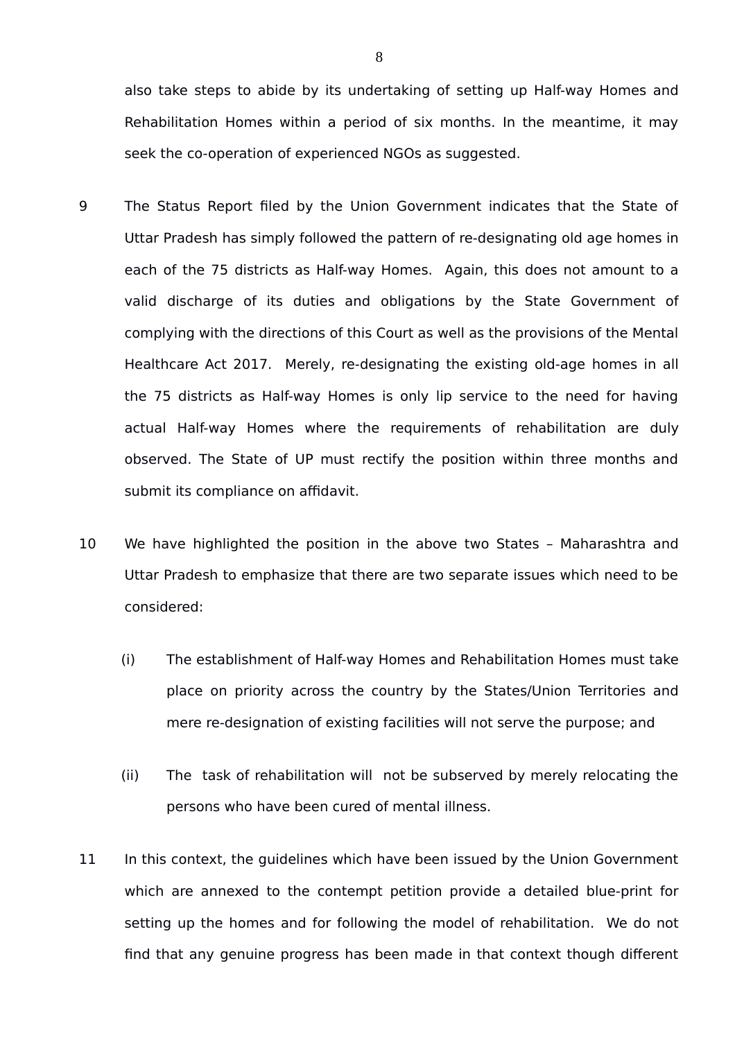also take steps to abide by its undertaking of setting up Half-way Homes and Rehabilitation Homes within a period of six months. In the meantime, it may seek the co-operation of experienced NGOs as suggested.

- 9 The Status Report filed by the Union Government indicates that the State of Uttar Pradesh has simply followed the pattern of re-designating old age homes in each of the 75 districts as Half-way Homes. Again, this does not amount to a valid discharge of its duties and obligations by the State Government of complying with the directions of this Court as well as the provisions of the Mental Healthcare Act 2017. Merely, re-designating the existing old-age homes in all the 75 districts as Half-way Homes is only lip service to the need for having actual Half-way Homes where the requirements of rehabilitation are duly observed. The State of UP must rectify the position within three months and submit its compliance on affidavit.
- 10 We have highlighted the position in the above two States Maharashtra and Uttar Pradesh to emphasize that there are two separate issues which need to be considered:
	- (i) The establishment of Half-way Homes and Rehabilitation Homes must take place on priority across the country by the States/Union Territories and mere re-designation of existing facilities will not serve the purpose; and
	- (ii) The task of rehabilitation will not be subserved by merely relocating the persons who have been cured of mental illness.
- 11 In this context, the guidelines which have been issued by the Union Government which are annexed to the contempt petition provide a detailed blue-print for setting up the homes and for following the model of rehabilitation. We do not find that any genuine progress has been made in that context though different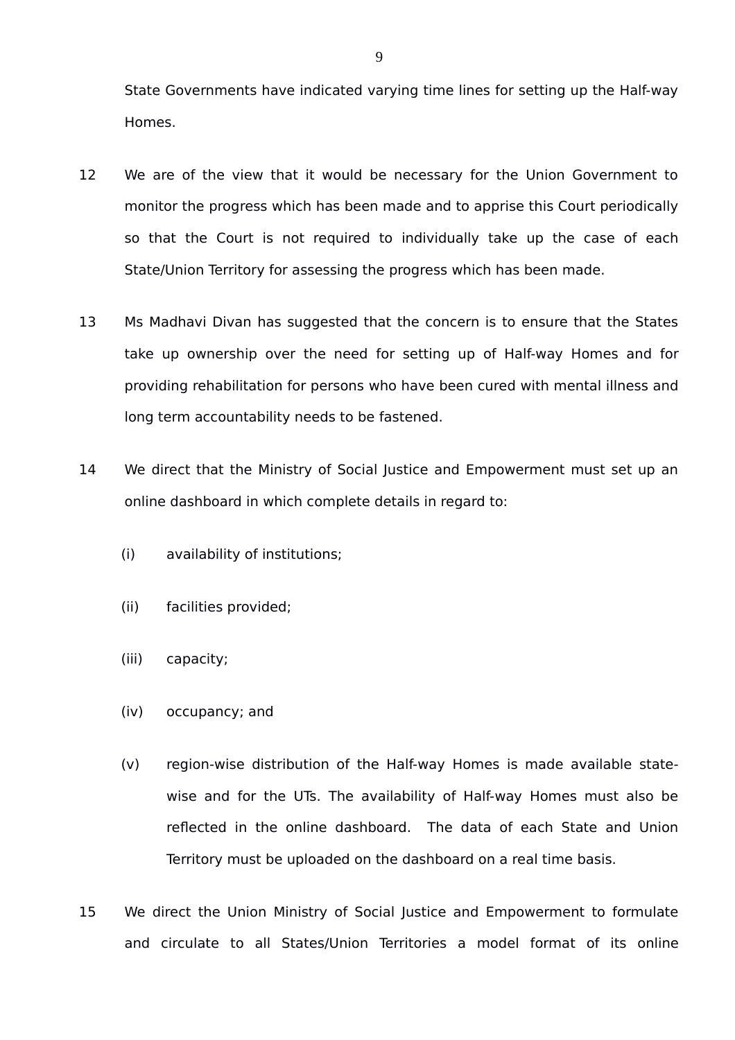State Governments have indicated varying time lines for setting up the Half-way Homes.

- 12 We are of the view that it would be necessary for the Union Government to monitor the progress which has been made and to apprise this Court periodically so that the Court is not required to individually take up the case of each State/Union Territory for assessing the progress which has been made.
- 13 Ms Madhavi Divan has suggested that the concern is to ensure that the States take up ownership over the need for setting up of Half-way Homes and for providing rehabilitation for persons who have been cured with mental illness and long term accountability needs to be fastened.
- 14 We direct that the Ministry of Social Justice and Empowerment must set up an online dashboard in which complete details in regard to:
	- (i) availability of institutions;
	- (ii) facilities provided;
	- (iii) capacity;
	- (iv) occupancy; and
	- (v) region-wise distribution of the Half-way Homes is made available statewise and for the UTs. The availability of Half-way Homes must also be reflected in the online dashboard. The data of each State and Union Territory must be uploaded on the dashboard on a real time basis.
- 15 We direct the Union Ministry of Social Justice and Empowerment to formulate and circulate to all States/Union Territories a model format of its online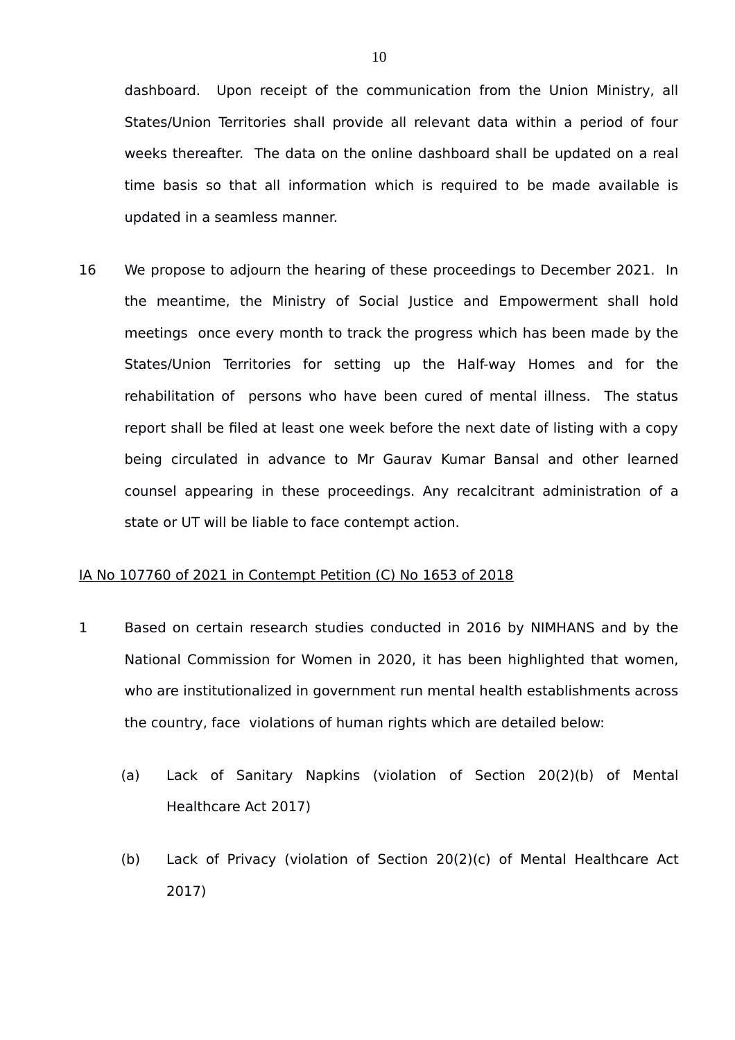dashboard. Upon receipt of the communication from the Union Ministry, all States/Union Territories shall provide all relevant data within a period of four weeks thereafter. The data on the online dashboard shall be updated on a real time basis so that all information which is required to be made available is updated in a seamless manner.

16 We propose to adjourn the hearing of these proceedings to December 2021. In the meantime, the Ministry of Social Justice and Empowerment shall hold meetings once every month to track the progress which has been made by the States/Union Territories for setting up the Half-way Homes and for the rehabilitation of persons who have been cured of mental illness. The status report shall be filed at least one week before the next date of listing with a copy being circulated in advance to Mr Gaurav Kumar Bansal and other learned counsel appearing in these proceedings. Any recalcitrant administration of a state or UT will be liable to face contempt action.

## IA No 107760 of 2021 in Contempt Petition (C) No 1653 of 2018

- 1 Based on certain research studies conducted in 2016 by NIMHANS and by the National Commission for Women in 2020, it has been highlighted that women, who are institutionalized in government run mental health establishments across the country, face violations of human rights which are detailed below:
	- (a) Lack of Sanitary Napkins (violation of Section 20(2)(b) of Mental Healthcare Act 2017)
	- (b) Lack of Privacy (violation of Section 20(2)(c) of Mental Healthcare Act 2017)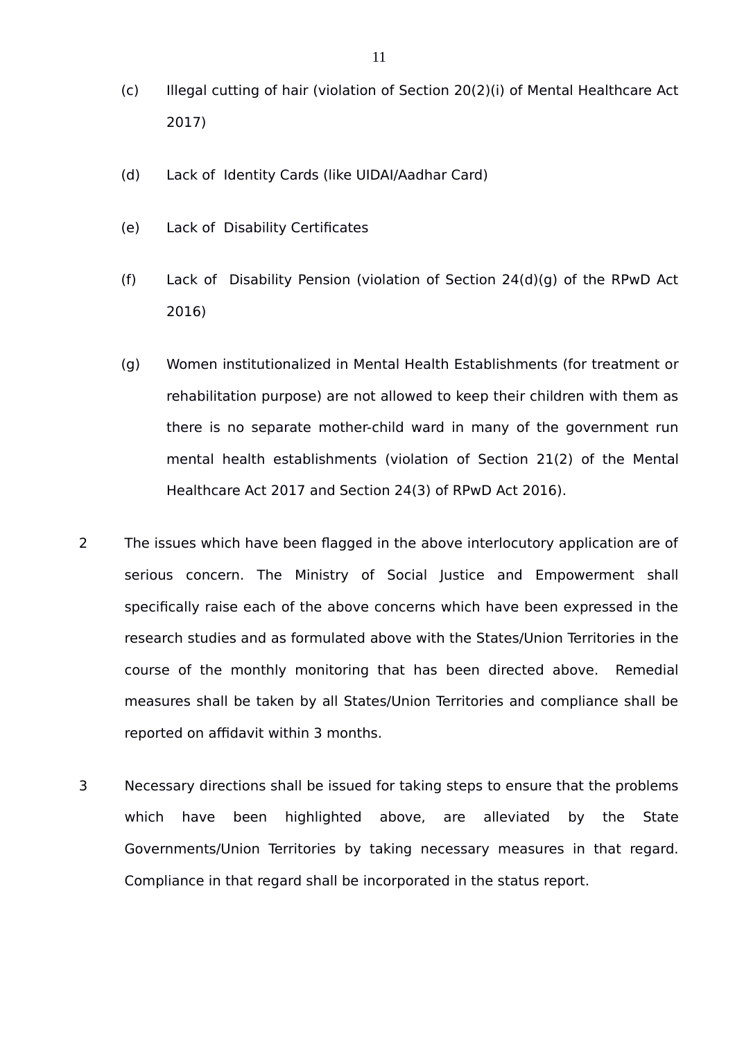- (c) Illegal cutting of hair (violation of Section 20(2)(i) of Mental Healthcare Act 2017)
- (d) Lack of Identity Cards (like UIDAI/Aadhar Card)
- (e) Lack of Disability Certificates
- (f) Lack of Disability Pension (violation of Section 24(d)(g) of the RPwD Act 2016)
- (g) Women institutionalized in Mental Health Establishments (for treatment or rehabilitation purpose) are not allowed to keep their children with them as there is no separate mother-child ward in many of the government run mental health establishments (violation of Section 21(2) of the Mental Healthcare Act 2017 and Section 24(3) of RPwD Act 2016).
- 2 The issues which have been flagged in the above interlocutory application are of serious concern. The Ministry of Social Justice and Empowerment shall specifically raise each of the above concerns which have been expressed in the research studies and as formulated above with the States/Union Territories in the course of the monthly monitoring that has been directed above. Remedial measures shall be taken by all States/Union Territories and compliance shall be reported on affidavit within 3 months.
- 3 Necessary directions shall be issued for taking steps to ensure that the problems which have been highlighted above, are alleviated by the State Governments/Union Territories by taking necessary measures in that regard. Compliance in that regard shall be incorporated in the status report.